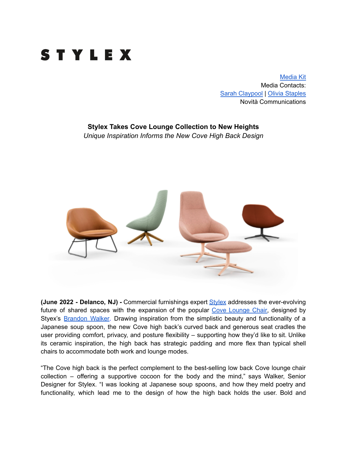

[Media](https://www.dropbox.com/sh/qpd0c527kl1xe5h/AAAG8SU5BqIc7VJOvUZHL35ia?dl=0) Kit Media Contacts: Sarah [Claypool](mailto:sarah@novitapr.com) | Olivia [Staples](mailto:olivia@novitapr.com) Novità Communications

## **Stylex Takes Cove Lounge Collection to New Heights**

*Unique Inspiration Informs the New Cove High Back Design*



**(June 2022 - Delanco, NJ) -** Commercial furnishings expert [Stylex](https://www.stylexseating.com/) addresses the ever-evolving future of shared spaces with the expansion of the popular Cove [Lounge](https://www.stylexseating.com/products/cove-lounge/) Chair, designed by Styex's [Brandon](https://www.stylexseating.com/designers/brandon-walker/) Walker. Drawing inspiration from the simplistic beauty and functionality of a Japanese soup spoon, the new Cove high back's curved back and generous seat cradles the user providing comfort, privacy, and posture flexibility – supporting how they'd like to sit. Unlike its ceramic inspiration, the high back has strategic padding and more flex than typical shell chairs to accommodate both work and lounge modes.

"The Cove high back is the perfect complement to the best-selling low back Cove lounge chair collection – offering a supportive cocoon for the body and the mind," says Walker, Senior Designer for Stylex. "I was looking at Japanese soup spoons, and how they meld poetry and functionality, which lead me to the design of how the high back holds the user. Bold and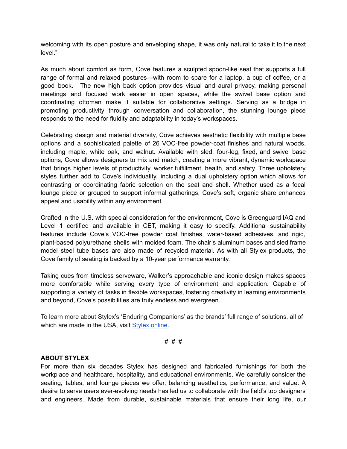welcoming with its open posture and enveloping shape, it was only natural to take it to the next level."

As much about comfort as form, Cove features a sculpted spoon-like seat that supports a full range of formal and relaxed postures—with room to spare for a laptop, a cup of coffee, or a good book. The new high back option provides visual and aural privacy, making personal meetings and focused work easier in open spaces, while the swivel base option and coordinating ottoman make it suitable for collaborative settings. Serving as a bridge in promoting productivity through conversation and collaboration, the stunning lounge piece responds to the need for fluidity and adaptability in today's workspaces.

Celebrating design and material diversity, Cove achieves aesthetic flexibility with multiple base options and a sophisticated palette of 26 VOC-free powder-coat finishes and natural woods, including maple, white oak, and walnut. Available with sled, four-leg, fixed, and swivel base options, Cove allows designers to mix and match, creating a more vibrant, dynamic workspace that brings higher levels of productivity, worker fulfillment, health, and safety. Three upholstery styles further add to Cove's individuality, including a dual upholstery option which allows for contrasting or coordinating fabric selection on the seat and shell. Whether used as a focal lounge piece or grouped to support informal gatherings, Cove's soft, organic share enhances appeal and usability within any environment.

Crafted in the U.S. with special consideration for the environment, Cove is Greenguard IAQ and Level 1 certified and available in CET, making it easy to specify. Additional sustainability features include Cove's VOC-free powder coat finishes, water-based adhesives, and rigid, plant-based polyurethane shells with molded foam. The chair's aluminum bases and sled frame model steel tube bases are also made of recycled material. As with all Stylex products, the Cove family of seating is backed by a 10-year performance warranty.

Taking cues from timeless serveware, Walker's approachable and iconic design makes spaces more comfortable while serving every type of environment and application. Capable of supporting a variety of tasks in flexible workspaces, fostering creativity in learning environments and beyond, Cove's possibilities are truly endless and evergreen.

To learn more about Stylex's 'Enduring Companions' as the brands' full range of solutions, all of which are made in the USA, visit [Stylex](http://stylexseating.com/) online.

# # #

## **ABOUT STYLEX**

For more than six decades Stylex has designed and fabricated furnishings for both the workplace and healthcare, hospitality, and educational environments. We carefully consider the seating, tables, and lounge pieces we offer, balancing aesthetics, performance, and value. A desire to serve users ever-evolving needs has led us to collaborate with the field's top designers and engineers. Made from durable, sustainable materials that ensure their long life, our